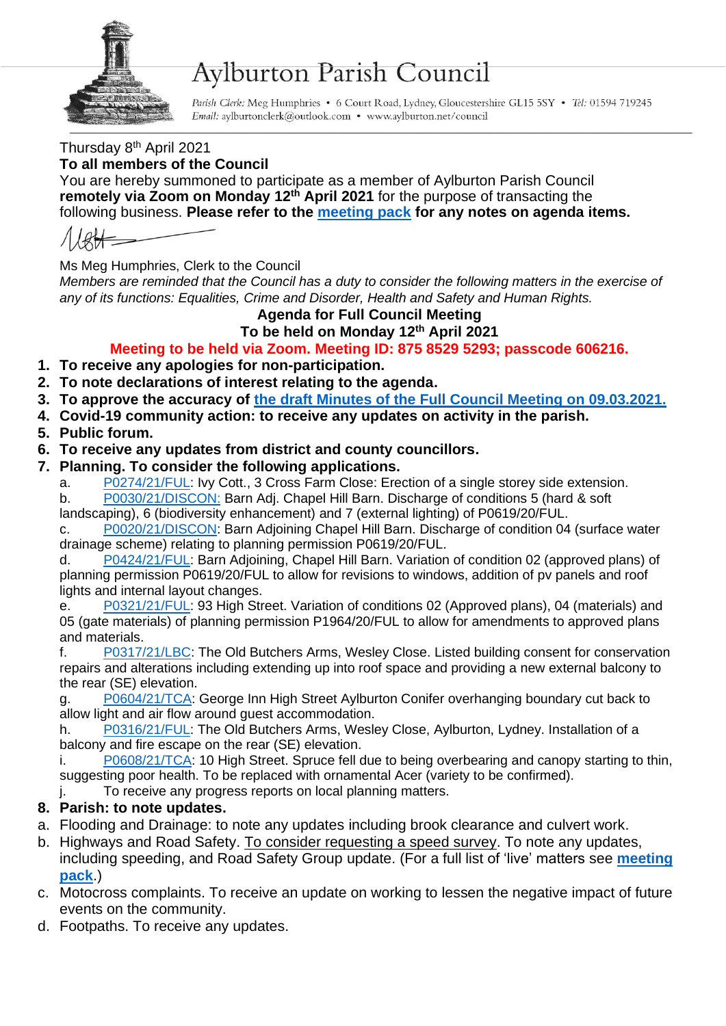

# Aylburton Parish Council

Parish Clerk: Meg Humphries • 6 Court Road, Lydney, Gloucestershire GL15 5SY • Tel: 01594 719245 Email: aylburtonclerk@outlook.com • www.aylburton.net/council

Thursday 8<sup>th</sup> April 2021

**To all members of the Council**

You are hereby summoned to participate as a member of Aylburton Parish Council **remotely via Zoom on Monday 12th April 2021** for the purpose of transacting the following business. **Please refer to the [meeting pack](http://aylburton.net/wp-content/uploads/2021/04/210412-Meeting-Pack-April-2021-Full-Council-12.04.2021.pdf) for any notes on agenda items.**

Ms Meg Humphries, Clerk to the Council

*Members are reminded that the Council has a duty to consider the following matters in the exercise of any of its functions: Equalities, Crime and Disorder, Health and Safety and Human Rights.*

## **Agenda for Full Council Meeting**

### **To be held on Monday 12th April 2021**

**Meeting to be held via Zoom. Meeting ID: 875 8529 5293; passcode 606216.**

- **1. To receive any apologies for non-participation.**
- **2. To note declarations of interest relating to the agenda.**
- **3. To approve the accuracy of the draft [Minutes of the Full Council Meeting on 09.03.2021.](http://aylburton.net/wp-content/uploads/2021/04/210309-DRAFT-Minutes-Full-Council-Meeting-09.03.21.pdf)**
- **4. Covid-19 community action: to receive any updates on activity in the parish.**
- **5. Public forum.**
- **6. To receive any updates from district and county councillors.**
- **7. Planning. To consider the following applications.**

a. [P0274/21/FUL:](https://publicaccess.fdean.gov.uk/online-applications/applicationDetails.do?activeTab=summary&keyVal=QO1WILHIGXY00) Ivy Cott., 3 Cross Farm Close: Erection of a single storey side extension. b. [P0030/21/DISCON:](https://publicaccess.fdean.gov.uk/online-applications/applicationDetails.do?activeTab=summary&keyVal=QPANNJHIHKK00) Barn Adj. Chapel Hill Barn. Discharge of conditions 5 (hard & soft landscaping), 6 (biodiversity enhancement) and 7 (external lighting) of P0619/20/FUL.

c. [P0020/21/DISCON:](https://publicaccess.fdean.gov.uk/online-applications/applicationDetails.do?activeTab=summary&keyVal=QOKVWAHIH8A00) Barn Adjoining Chapel Hill Barn. Discharge of condition 04 (surface water drainage scheme) relating to planning permission P0619/20/FUL.

d. [P0424/21/FUL:](https://publicaccess.fdean.gov.uk/online-applications/applicationDetails.do?activeTab=summary&keyVal=QPANNTHIHKM00) Barn Adjoining, Chapel Hill Barn. Variation of condition 02 (approved plans) of planning permission P0619/20/FUL to allow for revisions to windows, addition of pv panels and roof lights and internal layout changes.

e. [P0321/21/FUL:](https://publicaccess.fdean.gov.uk/online-applications/applicationDetails.do?activeTab=summary&keyVal=QOF0RRHIH5500) 93 High Street. Variation of conditions 02 (Approved plans), 04 (materials) and 05 (gate materials) of planning permission P1964/20/FUL to allow for amendments to approved plans and materials.

f. [P0317/21/LBC:](https://publicaccess.fdean.gov.uk/online-applications/applicationDetails.do?activeTab=summary&keyVal=QOEPMBHIH4T00) The Old Butchers Arms, Wesley Close. Listed building consent for conservation repairs and alterations including extending up into roof space and providing a new external balcony to the rear (SE) elevation.

g. [P0604/21/TCA:](http://publicaccess.fdean.gov.uk/online-applications/applicationDetails.do?activeTab=summary&keyVal=QQIMY4HII2K00) George Inn High Street Aylburton Conifer overhanging boundary cut back to allow light and air flow around guest accommodation.

h. [P0316/21/FUL:](https://publicaccess.fdean.gov.uk/online-applications/applicationDetails.do?activeTab=summary&keyVal=QOEPM5HIH4S00) The Old Butchers Arms, Wesley Close, Aylburton, Lydney. Installation of a balcony and fire escape on the rear (SE) elevation.

i. [P0608/21/TCA:](http://publicaccess.fdean.gov.uk/online-applications/applicationDetails.do?activeTab=summary&keyVal=QQIMZFHII2T00) 10 High Street. Spruce fell due to being overbearing and canopy starting to thin, suggesting poor health. To be replaced with ornamental Acer (variety to be confirmed).

To receive any progress reports on local planning matters.

### **8. Parish: to note updates.**

- a. Flooding and Drainage: to note any updates including brook clearance and culvert work.
- b. Highways and Road Safety. To consider requesting a speed survey. To note any updates, including speeding, and Road Safety Group update. (For a full list of 'live' matters see **[meeting](http://aylburton.net/wp-content/uploads/2021/04/210412-Meeting-Pack-April-2021-Full-Council-12.04.2021.pdf)  [pack](http://aylburton.net/wp-content/uploads/2021/04/210412-Meeting-Pack-April-2021-Full-Council-12.04.2021.pdf)**.)
- c. Motocross complaints. To receive an update on working to lessen the negative impact of future events on the community.
- d. Footpaths. To receive any updates.